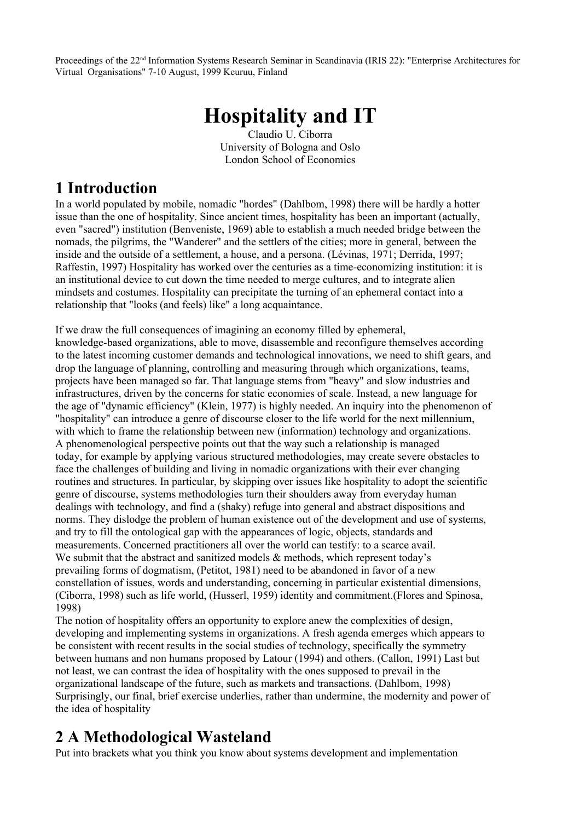Proceedings of the 22nd Information Systems Research Seminar in Scandinavia (IRIS 22): "Enterprise Architectures for Virtual Organisations" 7-10 August, 1999 Keuruu, Finland

# **Hospitality and IT**

Claudio U. Ciborra University of Bologna and Oslo London School of Economics

## **1 Introduction**

In a world populated by mobile, nomadic "hordes" (Dahlbom, 1998) there will be hardly a hotter issue than the one of hospitality. Since ancient times, hospitality has been an important (actually, even "sacred") institution (Benveniste, 1969) able to establish a much needed bridge between the nomads, the pilgrims, the "Wanderer" and the settlers of the cities; more in general, between the inside and the outside of a settlement, a house, and a persona. (Lévinas, 1971; Derrida, 1997; Raffestin, 1997) Hospitality has worked over the centuries as a time-economizing institution: it is an institutional device to cut down the time needed to merge cultures, and to integrate alien mindsets and costumes. Hospitality can precipitate the turning of an ephemeral contact into a relationship that "looks (and feels) like" a long acquaintance.

If we draw the full consequences of imagining an economy filled by ephemeral, knowledge-based organizations, able to move, disassemble and reconfigure themselves according to the latest incoming customer demands and technological innovations, we need to shift gears, and drop the language of planning, controlling and measuring through which organizations, teams, projects have been managed so far. That language stems from "heavy" and slow industries and infrastructures, driven by the concerns for static economies of scale. Instead, a new language for the age of "dynamic efficiency" (Klein, 1977) is highly needed. An inquiry into the phenomenon of "hospitality" can introduce a genre of discourse closer to the life world for the next millennium, with which to frame the relationship between new (information) technology and organizations. A phenomenological perspective points out that the way such a relationship is managed today, for example by applying various structured methodologies, may create severe obstacles to face the challenges of building and living in nomadic organizations with their ever changing routines and structures. In particular, by skipping over issues like hospitality to adopt the scientific genre of discourse, systems methodologies turn their shoulders away from everyday human dealings with technology, and find a (shaky) refuge into general and abstract dispositions and norms. They dislodge the problem of human existence out of the development and use of systems, and try to fill the ontological gap with the appearances of logic, objects, standards and measurements. Concerned practitioners all over the world can testify: to a scarce avail. We submit that the abstract and sanitized models  $\&$  methods, which represent today's prevailing forms of dogmatism, (Petitot, 1981) need to be abandoned in favor of a new constellation of issues, words and understanding, concerning in particular existential dimensions, (Ciborra, 1998) such as life world, (Husserl, 1959) identity and commitment.(Flores and Spinosa, 1998)

The notion of hospitality offers an opportunity to explore anew the complexities of design, developing and implementing systems in organizations. A fresh agenda emerges which appears to be consistent with recent results in the social studies of technology, specifically the symmetry between humans and non humans proposed by Latour (1994) and others. (Callon, 1991) Last but not least, we can contrast the idea of hospitality with the ones supposed to prevail in the organizational landscape of the future, such as markets and transactions. (Dahlbom, 1998) Surprisingly, our final, brief exercise underlies, rather than undermine, the modernity and power of the idea of hospitality

# **2 A Methodological Wasteland**

Put into brackets what you think you know about systems development and implementation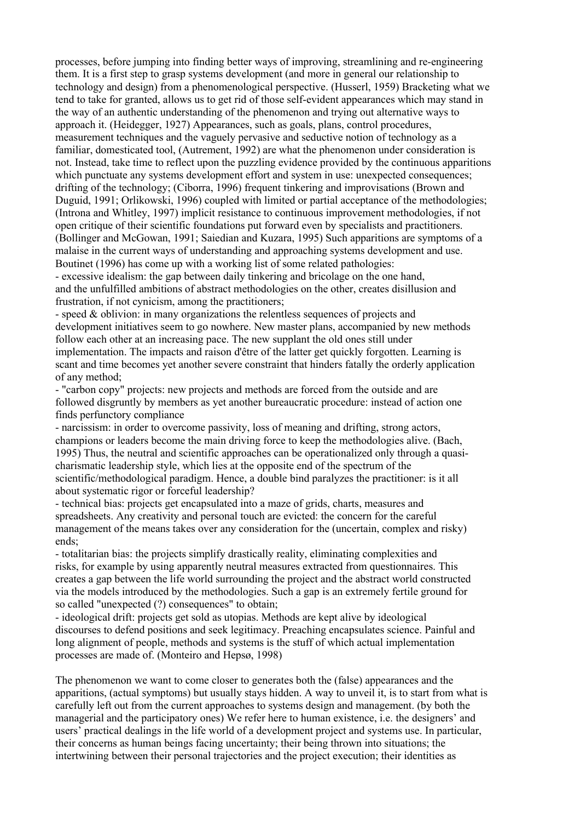processes, before jumping into finding better ways of improving, streamlining and re-engineering them. It is a first step to grasp systems development (and more in general our relationship to technology and design) from a phenomenological perspective. (Husserl, 1959) Bracketing what we tend to take for granted, allows us to get rid of those self-evident appearances which may stand in the way of an authentic understanding of the phenomenon and trying out alternative ways to approach it. (Heidegger, 1927) Appearances, such as goals, plans, control procedures, measurement techniques and the vaguely pervasive and seductive notion of technology as a familiar, domesticated tool, (Autrement, 1992) are what the phenomenon under consideration is not. Instead, take time to reflect upon the puzzling evidence provided by the continuous apparitions which punctuate any systems development effort and system in use: unexpected consequences; drifting of the technology; (Ciborra, 1996) frequent tinkering and improvisations (Brown and Duguid, 1991; Orlikowski, 1996) coupled with limited or partial acceptance of the methodologies; (Introna and Whitley, 1997) implicit resistance to continuous improvement methodologies, if not open critique of their scientific foundations put forward even by specialists and practitioners. (Bollinger and McGowan, 1991; Saiedian and Kuzara, 1995) Such apparitions are symptoms of a malaise in the current ways of understanding and approaching systems development and use. Boutinet (1996) has come up with a working list of some related pathologies:

- excessive idealism: the gap between daily tinkering and bricolage on the one hand, and the unfulfilled ambitions of abstract methodologies on the other, creates disillusion and frustration, if not cynicism, among the practitioners;

- speed & oblivion: in many organizations the relentless sequences of projects and development initiatives seem to go nowhere. New master plans, accompanied by new methods follow each other at an increasing pace. The new supplant the old ones still under implementation. The impacts and raison d'être of the latter get quickly forgotten. Learning is scant and time becomes yet another severe constraint that hinders fatally the orderly application of any method;

- "carbon copy" projects: new projects and methods are forced from the outside and are followed disgruntly by members as yet another bureaucratic procedure: instead of action one finds perfunctory compliance

- narcissism: in order to overcome passivity, loss of meaning and drifting, strong actors, champions or leaders become the main driving force to keep the methodologies alive. (Bach, 1995) Thus, the neutral and scientific approaches can be operationalized only through a quasicharismatic leadership style, which lies at the opposite end of the spectrum of the scientific/methodological paradigm. Hence, a double bind paralyzes the practitioner: is it all about systematic rigor or forceful leadership?

- technical bias: projects get encapsulated into a maze of grids, charts, measures and spreadsheets. Any creativity and personal touch are evicted: the concern for the careful management of the means takes over any consideration for the (uncertain, complex and risky) ends;

- totalitarian bias: the projects simplify drastically reality, eliminating complexities and risks, for example by using apparently neutral measures extracted from questionnaires. This creates a gap between the life world surrounding the project and the abstract world constructed via the models introduced by the methodologies. Such a gap is an extremely fertile ground for so called "unexpected (?) consequences" to obtain;

- ideological drift: projects get sold as utopias. Methods are kept alive by ideological discourses to defend positions and seek legitimacy. Preaching encapsulates science. Painful and long alignment of people, methods and systems is the stuff of which actual implementation processes are made of. (Monteiro and Hepsø, 1998)

The phenomenon we want to come closer to generates both the (false) appearances and the apparitions, (actual symptoms) but usually stays hidden. A way to unveil it, is to start from what is carefully left out from the current approaches to systems design and management. (by both the managerial and the participatory ones) We refer here to human existence, i.e. the designers' and users' practical dealings in the life world of a development project and systems use. In particular, their concerns as human beings facing uncertainty; their being thrown into situations; the intertwining between their personal trajectories and the project execution; their identities as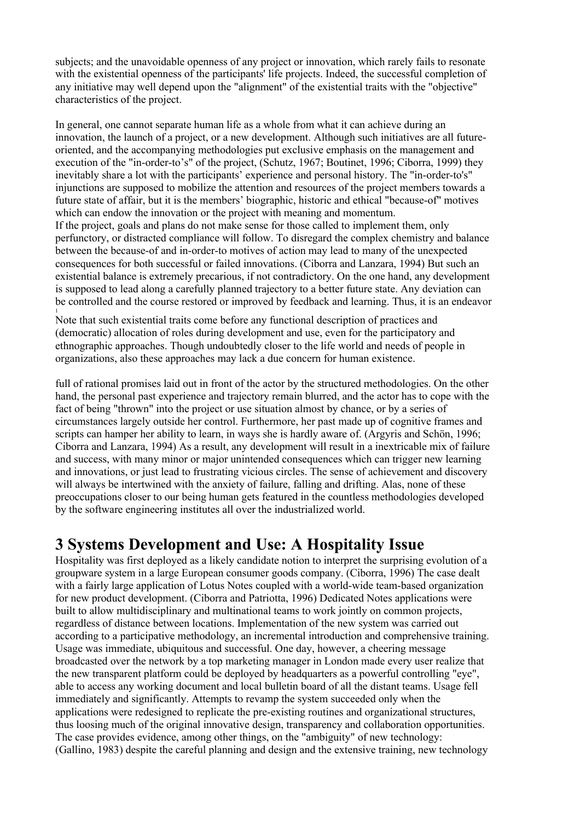subjects; and the unavoidable openness of any project or innovation, which rarely fails to resonate with the existential openness of the participants' life projects. Indeed, the successful completion of any initiative may well depend upon the "alignment" of the existential traits with the "objective" characteristics of the project.

In general, one cannot separate human life as a whole from what it can achieve during an innovation, the launch of a project, or a new development. Although such initiatives are all futureoriented, and the accompanying methodologies put exclusive emphasis on the management and execution of the "in-order-to's" of the project, (Schutz, 1967; Boutinet, 1996; Ciborra, 1999) they inevitably share a lot with the participants' experience and personal history. The "in-order-to's" injunctions are supposed to mobilize the attention and resources of the project members towards a future state of affair, but it is the members' biographic, historic and ethical "because-of" motives which can endow the innovation or the project with meaning and momentum.

If the project, goals and plans do not make sense for those called to implement them, only perfunctory, or distracted compliance will follow. To disregard the complex chemistry and balance between the because-of and in-order-to motives of action may lead to many of the unexpected consequences for both successful or failed innovations. (Ciborra and Lanzara, 1994) But such an existential balance is extremely precarious, if not contradictory. On the one hand, any development is supposed to lead along a carefully planned trajectory to a better future state. Any deviation can be controlled and the course restored or improved by feedback and learning. Thus, it is an endeavor 1

Note that such existential traits come before any functional description of practices and (democratic) allocation of roles during development and use, even for the participatory and ethnographic approaches. Though undoubtedly closer to the life world and needs of people in organizations, also these approaches may lack a due concern for human existence.

full of rational promises laid out in front of the actor by the structured methodologies. On the other hand, the personal past experience and trajectory remain blurred, and the actor has to cope with the fact of being "thrown" into the project or use situation almost by chance, or by a series of circumstances largely outside her control. Furthermore, her past made up of cognitive frames and scripts can hamper her ability to learn, in ways she is hardly aware of. (Argyris and Schön, 1996; Ciborra and Lanzara, 1994) As a result, any development will result in a inextricable mix of failure and success, with many minor or major unintended consequences which can trigger new learning and innovations, or just lead to frustrating vicious circles. The sense of achievement and discovery will always be intertwined with the anxiety of failure, falling and drifting. Alas, none of these preoccupations closer to our being human gets featured in the countless methodologies developed by the software engineering institutes all over the industrialized world.

## **3 Systems Development and Use: A Hospitality Issue**

Hospitality was first deployed as a likely candidate notion to interpret the surprising evolution of a groupware system in a large European consumer goods company. (Ciborra, 1996) The case dealt with a fairly large application of Lotus Notes coupled with a world-wide team-based organization for new product development. (Ciborra and Patriotta, 1996) Dedicated Notes applications were built to allow multidisciplinary and multinational teams to work jointly on common projects, regardless of distance between locations. Implementation of the new system was carried out according to a participative methodology, an incremental introduction and comprehensive training. Usage was immediate, ubiquitous and successful. One day, however, a cheering message broadcasted over the network by a top marketing manager in London made every user realize that the new transparent platform could be deployed by headquarters as a powerful controlling "eye", able to access any working document and local bulletin board of all the distant teams. Usage fell immediately and significantly. Attempts to revamp the system succeeded only when the applications were redesigned to replicate the pre-existing routines and organizational structures, thus loosing much of the original innovative design, transparency and collaboration opportunities. The case provides evidence, among other things, on the "ambiguity" of new technology: (Gallino, 1983) despite the careful planning and design and the extensive training, new technology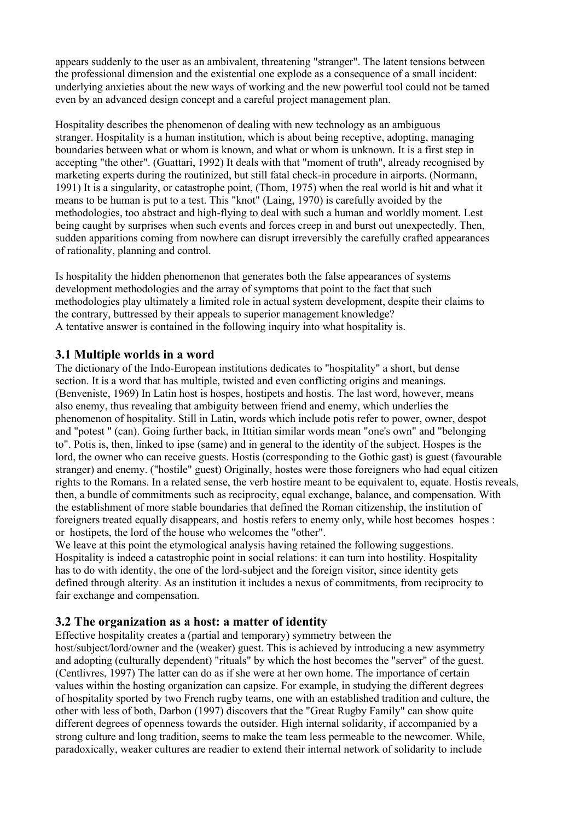appears suddenly to the user as an ambivalent, threatening "stranger". The latent tensions between the professional dimension and the existential one explode as a consequence of a small incident: underlying anxieties about the new ways of working and the new powerful tool could not be tamed even by an advanced design concept and a careful project management plan.

Hospitality describes the phenomenon of dealing with new technology as an ambiguous stranger. Hospitality is a human institution, which is about being receptive, adopting, managing boundaries between what or whom is known, and what or whom is unknown. It is a first step in accepting "the other". (Guattari, 1992) It deals with that "moment of truth", already recognised by marketing experts during the routinized, but still fatal check-in procedure in airports. (Normann, 1991) It is a singularity, or catastrophe point, (Thom, 1975) when the real world is hit and what it means to be human is put to a test. This "knot" (Laing, 1970) is carefully avoided by the methodologies, too abstract and high-flying to deal with such a human and worldly moment. Lest being caught by surprises when such events and forces creep in and burst out unexpectedly. Then, sudden apparitions coming from nowhere can disrupt irreversibly the carefully crafted appearances of rationality, planning and control.

Is hospitality the hidden phenomenon that generates both the false appearances of systems development methodologies and the array of symptoms that point to the fact that such methodologies play ultimately a limited role in actual system development, despite their claims to the contrary, buttressed by their appeals to superior management knowledge? A tentative answer is contained in the following inquiry into what hospitality is.

#### **3.1 Multiple worlds in a word**

The dictionary of the Indo-European institutions dedicates to "hospitality" a short, but dense section. It is a word that has multiple, twisted and even conflicting origins and meanings. (Benveniste, 1969) In Latin host is hospes, hostipets and hostis. The last word, however, means also enemy, thus revealing that ambiguity between friend and enemy, which underlies the phenomenon of hospitality. Still in Latin, words which include potis refer to power, owner, despot and "potest " (can). Going further back, in Ittitian similar words mean "one's own" and "belonging to". Potis is, then, linked to ipse (same) and in general to the identity of the subject. Hospes is the lord, the owner who can receive guests. Hostis (corresponding to the Gothic gast) is guest (favourable stranger) and enemy. ("hostile" guest) Originally, hostes were those foreigners who had equal citizen rights to the Romans. In a related sense, the verb hostire meant to be equivalent to, equate. Hostis reveals, then, a bundle of commitments such as reciprocity, equal exchange, balance, and compensation. With the establishment of more stable boundaries that defined the Roman citizenship, the institution of foreigners treated equally disappears, and hostis refers to enemy only, while host becomes hospes : or hostipets, the lord of the house who welcomes the "other".

We leave at this point the etymological analysis having retained the following suggestions. Hospitality is indeed a catastrophic point in social relations: it can turn into hostility. Hospitality has to do with identity, the one of the lord-subject and the foreign visitor, since identity gets defined through alterity. As an institution it includes a nexus of commitments, from reciprocity to fair exchange and compensation.

#### **3.2 The organization as a host: a matter of identity**

Effective hospitality creates a (partial and temporary) symmetry between the host/subject/lord/owner and the (weaker) guest. This is achieved by introducing a new asymmetry and adopting (culturally dependent) "rituals" by which the host becomes the "server" of the guest. (Centlivres, 1997) The latter can do as if she were at her own home. The importance of certain values within the hosting organization can capsize. For example, in studying the different degrees of hospitality sported by two French rugby teams, one with an established tradition and culture, the other with less of both, Darbon (1997) discovers that the "Great Rugby Family" can show quite different degrees of openness towards the outsider. High internal solidarity, if accompanied by a strong culture and long tradition, seems to make the team less permeable to the newcomer. While, paradoxically, weaker cultures are readier to extend their internal network of solidarity to include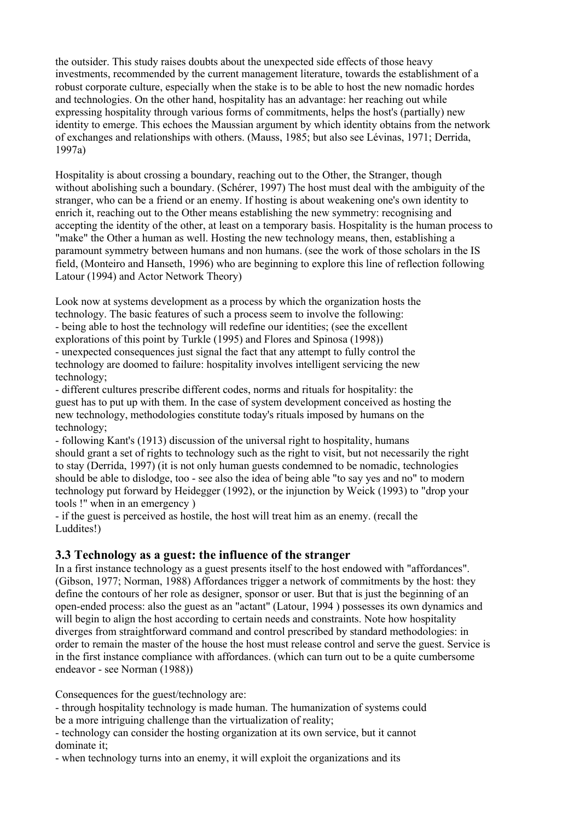the outsider. This study raises doubts about the unexpected side effects of those heavy investments, recommended by the current management literature, towards the establishment of a robust corporate culture, especially when the stake is to be able to host the new nomadic hordes and technologies. On the other hand, hospitality has an advantage: her reaching out while expressing hospitality through various forms of commitments, helps the host's (partially) new identity to emerge. This echoes the Maussian argument by which identity obtains from the network of exchanges and relationships with others. (Mauss, 1985; but also see Lévinas, 1971; Derrida, 1997a)

Hospitality is about crossing a boundary, reaching out to the Other, the Stranger, though without abolishing such a boundary. (Schérer, 1997) The host must deal with the ambiguity of the stranger, who can be a friend or an enemy. If hosting is about weakening one's own identity to enrich it, reaching out to the Other means establishing the new symmetry: recognising and accepting the identity of the other, at least on a temporary basis. Hospitality is the human process to "make" the Other a human as well. Hosting the new technology means, then, establishing a paramount symmetry between humans and non humans. (see the work of those scholars in the IS field, (Monteiro and Hanseth, 1996) who are beginning to explore this line of reflection following Latour (1994) and Actor Network Theory)

Look now at systems development as a process by which the organization hosts the technology. The basic features of such a process seem to involve the following: - being able to host the technology will redefine our identities; (see the excellent explorations of this point by Turkle (1995) and Flores and Spinosa (1998)) - unexpected consequences just signal the fact that any attempt to fully control the technology are doomed to failure: hospitality involves intelligent servicing the new

technology; - different cultures prescribe different codes, norms and rituals for hospitality: the guest has to put up with them. In the case of system development conceived as hosting the new technology, methodologies constitute today's rituals imposed by humans on the technology;

- following Kant's (1913) discussion of the universal right to hospitality, humans should grant a set of rights to technology such as the right to visit, but not necessarily the right to stay (Derrida, 1997) (it is not only human guests condemned to be nomadic, technologies should be able to dislodge, too - see also the idea of being able "to say yes and no" to modern technology put forward by Heidegger (1992), or the injunction by Weick (1993) to "drop your tools !" when in an emergency )

- if the guest is perceived as hostile, the host will treat him as an enemy. (recall the Luddites!)

### **3.3 Technology as a guest: the influence of the stranger**

In a first instance technology as a guest presents itself to the host endowed with "affordances". (Gibson, 1977; Norman, 1988) Affordances trigger a network of commitments by the host: they define the contours of her role as designer, sponsor or user. But that is just the beginning of an open-ended process: also the guest as an "actant" (Latour, 1994 ) possesses its own dynamics and will begin to align the host according to certain needs and constraints. Note how hospitality diverges from straightforward command and control prescribed by standard methodologies: in order to remain the master of the house the host must release control and serve the guest. Service is in the first instance compliance with affordances. (which can turn out to be a quite cumbersome endeavor - see Norman (1988))

Consequences for the guest/technology are:

- through hospitality technology is made human. The humanization of systems could be a more intriguing challenge than the virtualization of reality;

- technology can consider the hosting organization at its own service, but it cannot dominate it;

- when technology turns into an enemy, it will exploit the organizations and its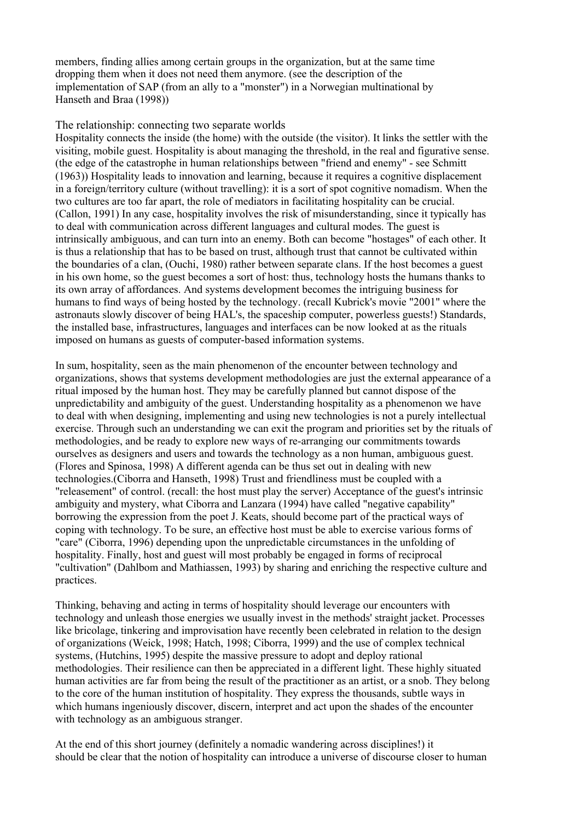members, finding allies among certain groups in the organization, but at the same time dropping them when it does not need them anymore. (see the description of the implementation of SAP (from an ally to a "monster") in a Norwegian multinational by Hanseth and Braa (1998))

#### The relationship: connecting two separate worlds

Hospitality connects the inside (the home) with the outside (the visitor). It links the settler with the visiting, mobile guest. Hospitality is about managing the threshold, in the real and figurative sense. (the edge of the catastrophe in human relationships between "friend and enemy" - see Schmitt (1963)) Hospitality leads to innovation and learning, because it requires a cognitive displacement in a foreign/territory culture (without travelling): it is a sort of spot cognitive nomadism. When the two cultures are too far apart, the role of mediators in facilitating hospitality can be crucial. (Callon, 1991) In any case, hospitality involves the risk of misunderstanding, since it typically has to deal with communication across different languages and cultural modes. The guest is intrinsically ambiguous, and can turn into an enemy. Both can become "hostages" of each other. It is thus a relationship that has to be based on trust, although trust that cannot be cultivated within the boundaries of a clan, (Ouchi, 1980) rather between separate clans. If the host becomes a guest in his own home, so the guest becomes a sort of host: thus, technology hosts the humans thanks to its own array of affordances. And systems development becomes the intriguing business for humans to find ways of being hosted by the technology. (recall Kubrick's movie "2001" where the astronauts slowly discover of being HAL's, the spaceship computer, powerless guests!) Standards, the installed base, infrastructures, languages and interfaces can be now looked at as the rituals imposed on humans as guests of computer-based information systems.

In sum, hospitality, seen as the main phenomenon of the encounter between technology and organizations, shows that systems development methodologies are just the external appearance of a ritual imposed by the human host. They may be carefully planned but cannot dispose of the unpredictability and ambiguity of the guest. Understanding hospitality as a phenomenon we have to deal with when designing, implementing and using new technologies is not a purely intellectual exercise. Through such an understanding we can exit the program and priorities set by the rituals of methodologies, and be ready to explore new ways of re-arranging our commitments towards ourselves as designers and users and towards the technology as a non human, ambiguous guest. (Flores and Spinosa, 1998) A different agenda can be thus set out in dealing with new technologies.(Ciborra and Hanseth, 1998) Trust and friendliness must be coupled with a "releasement" of control. (recall: the host must play the server) Acceptance of the guest's intrinsic ambiguity and mystery, what Ciborra and Lanzara (1994) have called "negative capability" borrowing the expression from the poet J. Keats, should become part of the practical ways of coping with technology. To be sure, an effective host must be able to exercise various forms of "care" (Ciborra, 1996) depending upon the unpredictable circumstances in the unfolding of hospitality. Finally, host and guest will most probably be engaged in forms of reciprocal "cultivation" (Dahlbom and Mathiassen, 1993) by sharing and enriching the respective culture and practices.

Thinking, behaving and acting in terms of hospitality should leverage our encounters with technology and unleash those energies we usually invest in the methods' straight jacket. Processes like bricolage, tinkering and improvisation have recently been celebrated in relation to the design of organizations (Weick, 1998; Hatch, 1998; Ciborra, 1999) and the use of complex technical systems, (Hutchins, 1995) despite the massive pressure to adopt and deploy rational methodologies. Their resilience can then be appreciated in a different light. These highly situated human activities are far from being the result of the practitioner as an artist, or a snob. They belong to the core of the human institution of hospitality. They express the thousands, subtle ways in which humans ingeniously discover, discern, interpret and act upon the shades of the encounter with technology as an ambiguous stranger.

At the end of this short journey (definitely a nomadic wandering across disciplines!) it should be clear that the notion of hospitality can introduce a universe of discourse closer to human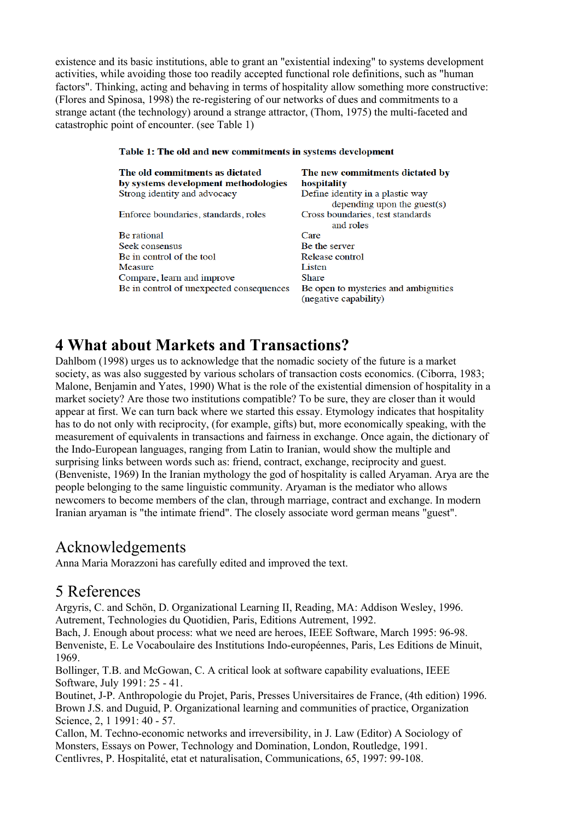existence and its basic institutions, able to grant an "existential indexing" to systems development activities, while avoiding those too readily accepted functional role definitions, such as "human factors". Thinking, acting and behaving in terms of hospitality allow something more constructive: (Flores and Spinosa, 1998) the re-registering of our networks of dues and commitments to a strange actant (the technology) around a strange attractor, (Thom, 1975) the multi-faceted and catastrophic point of encounter. (see Table 1)

| тамм т. тие он ана нев сонниционы нгэржим астерикин |                                      |
|-----------------------------------------------------|--------------------------------------|
| The old commitments as dictated                     | The new commitments dictated by      |
| by systems development methodologies                | hospitality                          |
| Strong identity and advocacy                        | Define identity in a plastic way     |
|                                                     | depending upon the guest $(s)$       |
| Enforce boundaries, standards, roles                | Cross boundaries, test standards     |
|                                                     | and roles                            |
| <b>Be</b> rational                                  | Care                                 |
| Seek consensus                                      | Be the server                        |
| Be in control of the tool                           | Release control                      |
| Measure                                             | Listen                               |
| Compare, learn and improve                          | <b>Share</b>                         |
| Be in control of unexpected consequences            | Be open to mysteries and ambiguities |
|                                                     | (negative capability)                |

#### Table 1: The old and new commitments in systems development

## **4 What about Markets and Transactions?**

Dahlbom (1998) urges us to acknowledge that the nomadic society of the future is a market society, as was also suggested by various scholars of transaction costs economics. (Ciborra, 1983; Malone, Benjamin and Yates, 1990) What is the role of the existential dimension of hospitality in a market society? Are those two institutions compatible? To be sure, they are closer than it would appear at first. We can turn back where we started this essay. Etymology indicates that hospitality has to do not only with reciprocity, (for example, gifts) but, more economically speaking, with the measurement of equivalents in transactions and fairness in exchange. Once again, the dictionary of the Indo-European languages, ranging from Latin to Iranian, would show the multiple and surprising links between words such as: friend, contract, exchange, reciprocity and guest. (Benveniste, 1969) In the Iranian mythology the god of hospitality is called Aryaman. Arya are the people belonging to the same linguistic community. Aryaman is the mediator who allows newcomers to become members of the clan, through marriage, contract and exchange. In modern Iranian aryaman is "the intimate friend". The closely associate word german means "guest".

## Acknowledgements

Anna Maria Morazzoni has carefully edited and improved the text.

## 5 References

Argyris, C. and Schön, D. Organizational Learning II, Reading, MA: Addison Wesley, 1996. Autrement, Technologies du Quotidien, Paris, Editions Autrement, 1992.

Bach, J. Enough about process: what we need are heroes, IEEE Software, March 1995: 96-98. Benveniste, E. Le Vocaboulaire des Institutions Indo-européennes, Paris, Les Editions de Minuit, 1969.

Bollinger, T.B. and McGowan, C. A critical look at software capability evaluations, IEEE Software, July 1991: 25 - 41.

Boutinet, J-P. Anthropologie du Projet, Paris, Presses Universitaires de France, (4th edition) 1996. Brown J.S. and Duguid, P. Organizational learning and communities of practice, Organization Science, 2, 1 1991: 40 - 57.

Callon, M. Techno-economic networks and irreversibility, in J. Law (Editor) A Sociology of Monsters, Essays on Power, Technology and Domination, London, Routledge, 1991. Centlivres, P. Hospitalité, etat et naturalisation, Communications, 65, 1997: 99-108.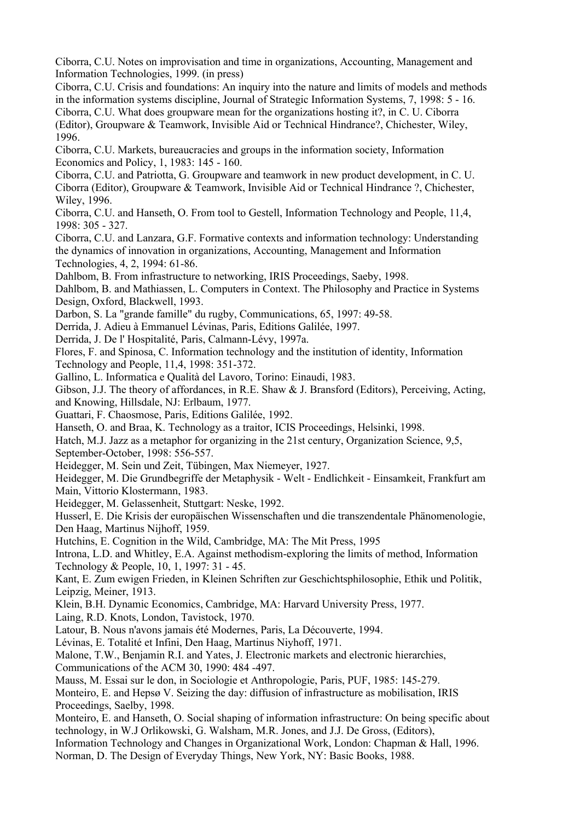Ciborra, C.U. Notes on improvisation and time in organizations, Accounting, Management and Information Technologies, 1999. (in press)

Ciborra, C.U. Crisis and foundations: An inquiry into the nature and limits of models and methods in the information systems discipline, Journal of Strategic Information Systems, 7, 1998: 5 - 16. Ciborra, C.U. What does groupware mean for the organizations hosting it?, in C. U. Ciborra (Editor), Groupware & Teamwork, Invisible Aid or Technical Hindrance?, Chichester, Wiley,

1996.

Ciborra, C.U. Markets, bureaucracies and groups in the information society, Information Economics and Policy, 1, 1983: 145 - 160.

Ciborra, C.U. and Patriotta, G. Groupware and teamwork in new product development, in C. U. Ciborra (Editor), Groupware & Teamwork, Invisible Aid or Technical Hindrance ?, Chichester, Wiley, 1996.

Ciborra, C.U. and Hanseth, O. From tool to Gestell, Information Technology and People, 11,4, 1998: 305 - 327.

Ciborra, C.U. and Lanzara, G.F. Formative contexts and information technology: Understanding the dynamics of innovation in organizations, Accounting, Management and Information Technologies, 4, 2, 1994: 61-86.

Dahlbom, B. From infrastructure to networking, IRIS Proceedings, Saeby, 1998.

Dahlbom, B. and Mathiassen, L. Computers in Context. The Philosophy and Practice in Systems Design, Oxford, Blackwell, 1993.

Darbon, S. La "grande famille" du rugby, Communications, 65, 1997: 49-58.

Derrida, J. Adieu à Emmanuel Lévinas, Paris, Editions Galilée, 1997.

Derrida, J. De l' Hospitalité, Paris, Calmann-Lévy, 1997a.

Flores, F. and Spinosa, C. Information technology and the institution of identity, Information Technology and People, 11,4, 1998: 351-372.

Gallino, L. Informatica e Qualità del Lavoro, Torino: Einaudi, 1983.

Gibson, J.J. The theory of affordances, in R.E. Shaw & J. Bransford (Editors), Perceiving, Acting, and Knowing, Hillsdale, NJ: Erlbaum, 1977.

Guattari, F. Chaosmose, Paris, Editions Galilée, 1992.

Hanseth, O. and Braa, K. Technology as a traitor, ICIS Proceedings, Helsinki, 1998.

Hatch, M.J. Jazz as a metaphor for organizing in the 21st century, Organization Science, 9,5, September-October, 1998: 556-557.

Heidegger, M. Sein und Zeit, Tübingen, Max Niemeyer, 1927.

Heidegger, M. Die Grundbegriffe der Metaphysik - Welt - Endlichkeit - Einsamkeit, Frankfurt am Main, Vittorio Klostermann, 1983.

Heidegger, M. Gelassenheit, Stuttgart: Neske, 1992.

Husserl, E. Die Krisis der europäischen Wissenschaften und die transzendentale Phänomenologie, Den Haag, Martinus Nijhoff, 1959.

Hutchins, E. Cognition in the Wild, Cambridge, MA: The Mit Press, 1995

Introna, L.D. and Whitley, E.A. Against methodism-exploring the limits of method, Information Technology & People, 10, 1, 1997: 31 - 45.

Kant, E. Zum ewigen Frieden, in Kleinen Schriften zur Geschichtsphilosophie, Ethik und Politik, Leipzig, Meiner, 1913.

Klein, B.H. Dynamic Economics, Cambridge, MA: Harvard University Press, 1977.

Laing, R.D. Knots, London, Tavistock, 1970.

Latour, B. Nous n'avons jamais été Modernes, Paris, La Découverte, 1994.

Lévinas, E. Totalité et Infini, Den Haag, Martinus Niyhoff, 1971.

Malone, T.W., Benjamin R.I. and Yates, J. Electronic markets and electronic hierarchies, Communications of the ACM 30, 1990: 484 -497.

Mauss, M. Essai sur le don, in Sociologie et Anthropologie, Paris, PUF, 1985: 145-279.

Monteiro, E. and Hepsø V. Seizing the day: diffusion of infrastructure as mobilisation, IRIS Proceedings, Saelby, 1998.

Monteiro, E. and Hanseth, O. Social shaping of information infrastructure: On being specific about technology, in W.J Orlikowski, G. Walsham, M.R. Jones, and J.J. De Gross, (Editors),

Information Technology and Changes in Organizational Work, London: Chapman & Hall, 1996. Norman, D. The Design of Everyday Things, New York, NY: Basic Books, 1988.